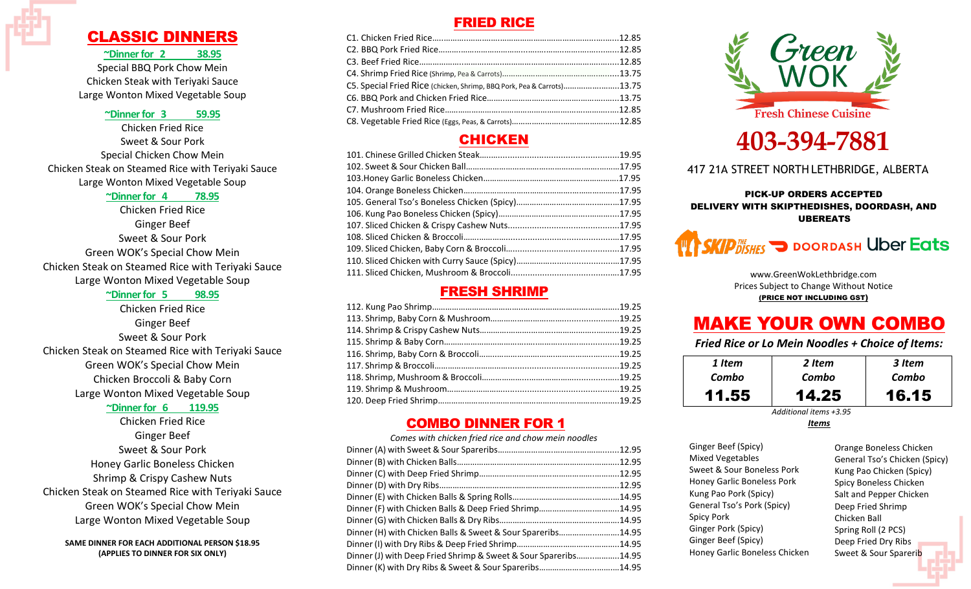## CLASSIC DINNERS

#### **~Dinner for 2 38.95**

Special BBQ Pork Chow Mein Chicken Steak with Teriyaki Sauce Large Wonton Mixed Vegetable Soup

#### **~Dinner for 3 59.95**

Chicken Fried Rice Sweet & Sour Pork Special Chicken Chow Mein Chicken Steak on Steamed Rice with Teriyaki Sauce Large Wonton Mixed Vegetable Soup

#### **~Dinner for 4 78.95**

Chicken Fried Rice Ginger Beef Sweet & Sour Pork Green WOK's Special Chow Mein Chicken Steak on Steamed Rice with Teriyaki Sauce Large Wonton Mixed Vegetable Soup

#### **~Dinner for 5 98.95**

Chicken Fried Rice Ginger Beef Sweet & Sour Pork Chicken Steak on Steamed Rice with Teriyaki Sauce Green WOK's Special Chow Mein Chicken Broccoli & Baby Corn Large Wonton Mixed Vegetable Soup

#### **~Dinner for 6 119.95**

Chicken Fried Rice Ginger Beef Sweet & Sour Pork Honey Garlic Boneless Chicken Shrimp & Crispy Cashew Nuts Chicken Steak on Steamed Rice with Teriyaki Sauce Green WOK's Special Chow Mein Large Wonton Mixed Vegetable Soup

**SAME DINNER FOR EACH ADDITIONAL PERSON \$18.95 (APPLIES TO DINNER FOR SIX ONLY)**

## FRIED RICE

| C5. Special Fried Rice (chicken, Shrimp, BBQ Pork, Pea & Carrots)13.75 |  |
|------------------------------------------------------------------------|--|
|                                                                        |  |
|                                                                        |  |
|                                                                        |  |

## **CHICKEN**

### FRESH SHRIMP

## COMBO DINNER FOR 1

| Comes with chicken fried rice and chow mein noodles             |  |
|-----------------------------------------------------------------|--|
|                                                                 |  |
|                                                                 |  |
|                                                                 |  |
|                                                                 |  |
|                                                                 |  |
| Dinner (F) with Chicken Balls & Deep Fried Shrimp14.95          |  |
|                                                                 |  |
| Dinner (H) with Chicken Balls & Sweet & Sour Spareribs14.95     |  |
|                                                                 |  |
| Dinner (J) with Deep Fried Shrimp & Sweet & Sour Spareribs14.95 |  |
| Dinner (K) with Dry Ribs & Sweet & Sour Spareribs14.95          |  |
|                                                                 |  |



# **403-394-7881**

417 21A STREET NORTH LETHBRIDGE, ALBERTA

#### PICK-UP ORDERS ACCEPTED DELIVERY WITH SKIPTHEDISHES, DOORDASH, AND UBEREATS



www.GreenWokLethbridge.com Prices Subject to Change Without Notice (PRICE NOT INCLUDING GST)

## MAKE YOUR OWN COMBO

*Fried Rice or Lo Mein Noodles + Choice of Items:*

| 1 Item | 2 Item | 3 Item |
|--------|--------|--------|
| Combo  | Combo  | Combo  |
| 11.55  | 14.25  | 16.15  |

*Additional items +3.95*

*Items*

| Ginger Beef (Spicy)           |
|-------------------------------|
| <b>Mixed Vegetables</b>       |
| Sweet & Sour Boneless Pork    |
| Honey Garlic Boneless Pork    |
| Kung Pao Pork (Spicy)         |
| General Tso's Pork (Spicy)    |
| Spicy Pork                    |
| Ginger Pork (Spicy)           |
| Ginger Beef (Spicy)           |
| Honey Garlic Boneless Chicken |
|                               |

Orange Boneless Chicken General Tso's Chicken (Spicy) Kung Pao Chicken (Spicy) Spicy Boneless Chicken Salt and Pepper Chicken Deep Fried Shrimp Chicken Ball Spring Roll (2 PCS) Deep Fried Dry Ribs Sweet & Sour Sparerib